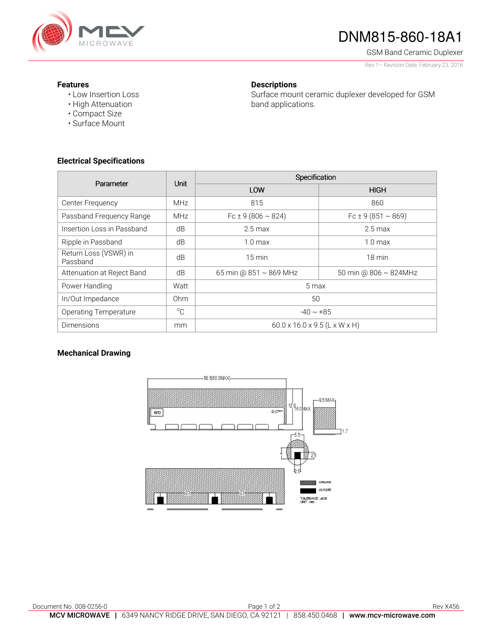

# DNM815-860-18A1

GSM Band Ceramic Duplexer

Rev 1– Revision Date: February 23, 2016

#### **Features**

• Low Insertion Loss • High Attenuation

• Compact Size • Surface Mount

### **Descriptions**

Surface mount ceramic duplexer developed for GSM band applications.

**Electrical Specifications** 

| Parameter                         | Unit            | Specification                             |                             |
|-----------------------------------|-----------------|-------------------------------------------|-----------------------------|
|                                   |                 | LOW                                       | <b>HIGH</b>                 |
| Center Frequency                  | <b>MHz</b>      | 815                                       | 860                         |
| Passband Frequency Range          | <b>MHz</b>      | $Fc \pm 9(806 \sim 824)$                  | Fc ± 9 (851 $\sim$ 869)     |
| Insertion Loss in Passband        | dB              | $2.5 \,\mathrm{max}$                      | $2.5 \,\mathrm{max}$        |
| Ripple in Passband                | dB              | 1.0 <sub>max</sub>                        | 1.0 <sub>max</sub>          |
| Return Loss (VSWR) in<br>Passband | dB              | $15 \text{ min}$                          | $18 \text{ min}$            |
| Attenuation at Reject Band        | dB              | 65 min @ $851 \sim 869$ MHz               | 50 min @ $806 \sim 824$ MHz |
| Power Handling                    | Watt            | 5 max                                     |                             |
| In/Out Impedance                  | 0 <sub>hm</sub> | 50                                        |                             |
| <b>Operating Temperature</b>      | $^{\circ}C$     | $-40 \sim +85$                            |                             |
| <b>Dimensions</b>                 | mm              | $60.0 \times 16.0 \times 9.5$ (L x W x H) |                             |

## **Mechanical Drawing**